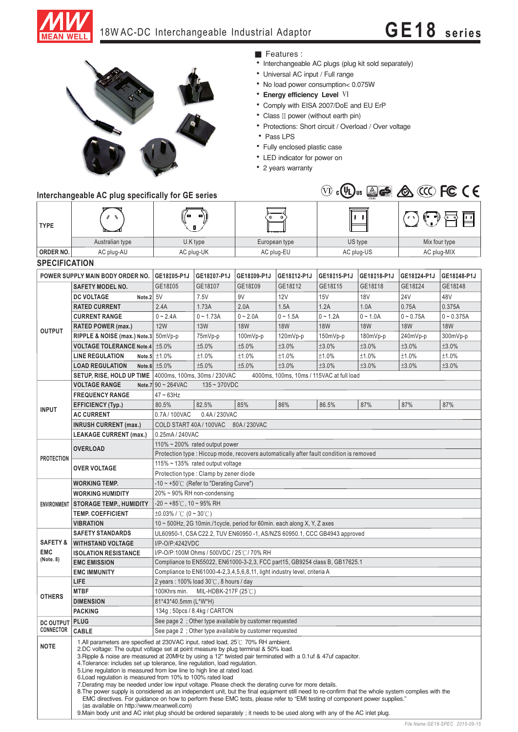

## 18W AC-DC Interchangeable Industrial Adaptor **GE18 series**



## **Interchangeable AC plug specifically for GE series**

■ Features :

- Interchangeable AC plugs (plug kit sold separately)
- Universal AC input / Full range
- No load power consumption< 0.075W
- **Energy efficiency Level VI**
- Comply with EISA 2007/DoE and EU ErP
- Class II power (without earth pin)
- Protections: Short circuit / Overload / Over voltage
- Pass LPS
- Fully enclosed plastic case
- LED indicator for power on
- 2 years warranty



| <b>TYPE</b>                                    |                                                                                                                                                                                                                                                                                                                                                                                                                                                                                                                                                                                                                                                                                                                                                                                                                                                                                                                                                                                                                                                                                                   |                                                                                        |             |                                                                           |             |                                           |             |               |              |
|------------------------------------------------|---------------------------------------------------------------------------------------------------------------------------------------------------------------------------------------------------------------------------------------------------------------------------------------------------------------------------------------------------------------------------------------------------------------------------------------------------------------------------------------------------------------------------------------------------------------------------------------------------------------------------------------------------------------------------------------------------------------------------------------------------------------------------------------------------------------------------------------------------------------------------------------------------------------------------------------------------------------------------------------------------------------------------------------------------------------------------------------------------|----------------------------------------------------------------------------------------|-------------|---------------------------------------------------------------------------|-------------|-------------------------------------------|-------------|---------------|--------------|
|                                                | Australian type                                                                                                                                                                                                                                                                                                                                                                                                                                                                                                                                                                                                                                                                                                                                                                                                                                                                                                                                                                                                                                                                                   |                                                                                        | U.K type    | European type                                                             |             | US type                                   |             | Mix four type |              |
| ORDER NO.                                      | AC plug-AU                                                                                                                                                                                                                                                                                                                                                                                                                                                                                                                                                                                                                                                                                                                                                                                                                                                                                                                                                                                                                                                                                        | AC plug-UK                                                                             |             | AC plug-EU                                                                |             | AC plug-US                                |             | AC plug-MIX   |              |
| <b>SPECIFICATION</b>                           |                                                                                                                                                                                                                                                                                                                                                                                                                                                                                                                                                                                                                                                                                                                                                                                                                                                                                                                                                                                                                                                                                                   |                                                                                        |             |                                                                           |             |                                           |             |               |              |
|                                                | POWER SUPPLY MAIN BODY ORDER NO.                                                                                                                                                                                                                                                                                                                                                                                                                                                                                                                                                                                                                                                                                                                                                                                                                                                                                                                                                                                                                                                                  | GE18105-P1J                                                                            | GE18107-P1J | GE18109-P1J                                                               | GE18112-P1J | GE18115-P1J                               | GE18I18-P1J | GE18124-P1J   | GE18I48-P1J  |
|                                                | <b>SAFETY MODEL NO.</b>                                                                                                                                                                                                                                                                                                                                                                                                                                                                                                                                                                                                                                                                                                                                                                                                                                                                                                                                                                                                                                                                           | GE18I05                                                                                | GE18I07     | GE18109                                                                   | GE18I12     | GE18I15                                   | GE18I18     | GE18I24       | GE18148      |
| <b>OUTPUT</b>                                  | <b>DC VOLTAGE</b><br>Note.2 5V                                                                                                                                                                                                                                                                                                                                                                                                                                                                                                                                                                                                                                                                                                                                                                                                                                                                                                                                                                                                                                                                    |                                                                                        | 7.5V        | 9V                                                                        | <b>12V</b>  | 15V                                       | <b>18V</b>  | 24V           | 48V          |
|                                                | <b>RATED CURRENT</b>                                                                                                                                                                                                                                                                                                                                                                                                                                                                                                                                                                                                                                                                                                                                                                                                                                                                                                                                                                                                                                                                              | 2.4A                                                                                   | 1.73A       | 2.0A                                                                      | 1.5A        | 1.2A                                      | 1.0A        | 0.75A         | 0.375A       |
|                                                | <b>CURRENT RANGE</b>                                                                                                                                                                                                                                                                                                                                                                                                                                                                                                                                                                                                                                                                                                                                                                                                                                                                                                                                                                                                                                                                              | $0 - 2.4A$                                                                             | $0 - 1.73A$ | $0 - 2.0A$                                                                | $0 - 1.5A$  | $0 - 1.2A$                                | $0 - 1.0A$  | $0 - 0.75A$   | $0 - 0.375A$ |
|                                                | <b>RATED POWER (max.)</b>                                                                                                                                                                                                                                                                                                                                                                                                                                                                                                                                                                                                                                                                                                                                                                                                                                                                                                                                                                                                                                                                         | <b>12W</b>                                                                             | <b>13W</b>  | <b>18W</b>                                                                | <b>18W</b>  | <b>18W</b>                                | <b>18W</b>  | <b>18W</b>    | <b>18W</b>   |
|                                                | RIPPLE & NOISE (max.) Note.3 50mVp-p                                                                                                                                                                                                                                                                                                                                                                                                                                                                                                                                                                                                                                                                                                                                                                                                                                                                                                                                                                                                                                                              |                                                                                        | 75mVp-p     | 100mVp-p                                                                  | 120mVp-p    | 150mVp-p                                  | 180mVp-p    | 240mVp-p      | 300mVp-p     |
|                                                | <b>VOLTAGE TOLERANCE Note.4   ±5.0%</b>                                                                                                                                                                                                                                                                                                                                                                                                                                                                                                                                                                                                                                                                                                                                                                                                                                                                                                                                                                                                                                                           |                                                                                        | ±5.0%       | ±5.0%                                                                     | ±3.0%       | ±3.0%                                     | ±3.0%       | ±3.0%         | ±3.0%        |
|                                                | <b>LINE REGULATION</b>                                                                                                                                                                                                                                                                                                                                                                                                                                                                                                                                                                                                                                                                                                                                                                                                                                                                                                                                                                                                                                                                            | Note.5 $\pm 1.0\%$                                                                     | ±1.0%       | ±1.0%                                                                     | ±1.0%       | ±1.0%                                     | ±1.0%       | ±1.0%         | ±1.0%        |
|                                                | <b>LOAD REGULATION</b>                                                                                                                                                                                                                                                                                                                                                                                                                                                                                                                                                                                                                                                                                                                                                                                                                                                                                                                                                                                                                                                                            | Note.6 $±5.0\%$                                                                        | ±5.0%       | ±5.0%                                                                     | ±3.0%       | ±3.0%                                     | ±3.0%       | ±3.0%         | ±3.0%        |
|                                                | SETUP, RISE, HOLD UP TIME                                                                                                                                                                                                                                                                                                                                                                                                                                                                                                                                                                                                                                                                                                                                                                                                                                                                                                                                                                                                                                                                         | 4000ms, 100ms, 30ms / 230VAC                                                           |             |                                                                           |             | 4000ms, 100ms, 10ms / 115VAC at full load |             |               |              |
|                                                | <b>VOLTAGE RANGE</b>                                                                                                                                                                                                                                                                                                                                                                                                                                                                                                                                                                                                                                                                                                                                                                                                                                                                                                                                                                                                                                                                              | Note.7 $90 \sim 264$ VAC<br>$135 - 370VDC$                                             |             |                                                                           |             |                                           |             |               |              |
| <b>INPUT</b>                                   | <b>FREQUENCY RANGE</b>                                                                                                                                                                                                                                                                                                                                                                                                                                                                                                                                                                                                                                                                                                                                                                                                                                                                                                                                                                                                                                                                            | $47 - 63$ Hz                                                                           |             |                                                                           |             |                                           |             |               |              |
|                                                | <b>EFFICIENCY (Typ.)</b>                                                                                                                                                                                                                                                                                                                                                                                                                                                                                                                                                                                                                                                                                                                                                                                                                                                                                                                                                                                                                                                                          | 80.5%                                                                                  | 82.5%       | 85%                                                                       | 86%         | 86.5%                                     | 87%         | 87%           | 87%          |
|                                                | <b>AC CURRENT</b>                                                                                                                                                                                                                                                                                                                                                                                                                                                                                                                                                                                                                                                                                                                                                                                                                                                                                                                                                                                                                                                                                 | 0.7A/100VAC<br>0.4A / 230VAC                                                           |             |                                                                           |             |                                           |             |               |              |
|                                                | <b>INRUSH CURRENT (max.)</b>                                                                                                                                                                                                                                                                                                                                                                                                                                                                                                                                                                                                                                                                                                                                                                                                                                                                                                                                                                                                                                                                      | COLD START 40A / 100VAC<br>80A/230VAC                                                  |             |                                                                           |             |                                           |             |               |              |
|                                                | <b>LEAKAGE CURRENT (max.)</b>                                                                                                                                                                                                                                                                                                                                                                                                                                                                                                                                                                                                                                                                                                                                                                                                                                                                                                                                                                                                                                                                     | 0.25mA / 240VAC                                                                        |             |                                                                           |             |                                           |             |               |              |
| <b>PROTECTION</b>                              |                                                                                                                                                                                                                                                                                                                                                                                                                                                                                                                                                                                                                                                                                                                                                                                                                                                                                                                                                                                                                                                                                                   | 110% $\sim$ 200% rated output power                                                    |             |                                                                           |             |                                           |             |               |              |
|                                                | <b>OVERLOAD</b>                                                                                                                                                                                                                                                                                                                                                                                                                                                                                                                                                                                                                                                                                                                                                                                                                                                                                                                                                                                                                                                                                   | Protection type : Hiccup mode, recovers automatically after fault condition is removed |             |                                                                           |             |                                           |             |               |              |
|                                                |                                                                                                                                                                                                                                                                                                                                                                                                                                                                                                                                                                                                                                                                                                                                                                                                                                                                                                                                                                                                                                                                                                   | 115% ~ 135% rated output voltage                                                       |             |                                                                           |             |                                           |             |               |              |
|                                                | <b>OVER VOLTAGE</b>                                                                                                                                                                                                                                                                                                                                                                                                                                                                                                                                                                                                                                                                                                                                                                                                                                                                                                                                                                                                                                                                               | Protection type : Clamp by zener diode                                                 |             |                                                                           |             |                                           |             |               |              |
| <b>ENVIRONMENT</b>                             | <b>WORKING TEMP.</b>                                                                                                                                                                                                                                                                                                                                                                                                                                                                                                                                                                                                                                                                                                                                                                                                                                                                                                                                                                                                                                                                              | -10 ~ +50°C (Refer to "Derating Curve")                                                |             |                                                                           |             |                                           |             |               |              |
|                                                | <b>WORKING HUMIDITY</b>                                                                                                                                                                                                                                                                                                                                                                                                                                                                                                                                                                                                                                                                                                                                                                                                                                                                                                                                                                                                                                                                           | $20\% \sim 90\%$ RH non-condensing                                                     |             |                                                                           |             |                                           |             |               |              |
|                                                | <b>STORAGE TEMP., HUMIDITY</b>                                                                                                                                                                                                                                                                                                                                                                                                                                                                                                                                                                                                                                                                                                                                                                                                                                                                                                                                                                                                                                                                    | $-20 \sim +85^{\circ}$ C, 10 ~ 95% RH                                                  |             |                                                                           |             |                                           |             |               |              |
|                                                | <b>TEMP. COEFFICIENT</b>                                                                                                                                                                                                                                                                                                                                                                                                                                                                                                                                                                                                                                                                                                                                                                                                                                                                                                                                                                                                                                                                          | $\pm 0.03\%$ / °C (0 ~ 30°C)                                                           |             |                                                                           |             |                                           |             |               |              |
|                                                | <b>VIBRATION</b>                                                                                                                                                                                                                                                                                                                                                                                                                                                                                                                                                                                                                                                                                                                                                                                                                                                                                                                                                                                                                                                                                  | 10 ~ 500Hz, 2G 10min./1cycle, period for 60min. each along X, Y, Z axes                |             |                                                                           |             |                                           |             |               |              |
| <b>SAFETY &amp;</b><br><b>EMC</b><br>(Note. 8) | <b>SAFETY STANDARDS</b>                                                                                                                                                                                                                                                                                                                                                                                                                                                                                                                                                                                                                                                                                                                                                                                                                                                                                                                                                                                                                                                                           |                                                                                        |             | UL60950-1, CSA C22.2, TUV EN60950 -1, AS/NZS 60950.1, CCC GB4943 approved |             |                                           |             |               |              |
|                                                | <b>WITHSTAND VOLTAGE</b>                                                                                                                                                                                                                                                                                                                                                                                                                                                                                                                                                                                                                                                                                                                                                                                                                                                                                                                                                                                                                                                                          | I/P-O/P:4242VDC                                                                        |             |                                                                           |             |                                           |             |               |              |
|                                                | <b>ISOLATION RESISTANCE</b>                                                                                                                                                                                                                                                                                                                                                                                                                                                                                                                                                                                                                                                                                                                                                                                                                                                                                                                                                                                                                                                                       | I/P-O/P:100M Ohms / 500VDC / 25°C / 70% RH                                             |             |                                                                           |             |                                           |             |               |              |
|                                                | <b>EMC EMISSION</b>                                                                                                                                                                                                                                                                                                                                                                                                                                                                                                                                                                                                                                                                                                                                                                                                                                                                                                                                                                                                                                                                               | Compliance to EN55022, EN61000-3-2,3, FCC part15, GB9254 class B, GB17625.1            |             |                                                                           |             |                                           |             |               |              |
|                                                | <b>EMC IMMUNITY</b>                                                                                                                                                                                                                                                                                                                                                                                                                                                                                                                                                                                                                                                                                                                                                                                                                                                                                                                                                                                                                                                                               | Compliance to EN61000-4-2,3,4,5,6,8,11, light industry level, criteria A               |             |                                                                           |             |                                           |             |               |              |
| <b>OTHERS</b>                                  | LIFE                                                                                                                                                                                                                                                                                                                                                                                                                                                                                                                                                                                                                                                                                                                                                                                                                                                                                                                                                                                                                                                                                              | 2 years: $100\%$ load $30\degree$ C, 8 hours / day                                     |             |                                                                           |             |                                           |             |               |              |
|                                                | <b>MTBF</b>                                                                                                                                                                                                                                                                                                                                                                                                                                                                                                                                                                                                                                                                                                                                                                                                                                                                                                                                                                                                                                                                                       | 100Khrs min. MIL-HDBK-217F (25°C)                                                      |             |                                                                           |             |                                           |             |               |              |
|                                                | <b>DIMENSION</b>                                                                                                                                                                                                                                                                                                                                                                                                                                                                                                                                                                                                                                                                                                                                                                                                                                                                                                                                                                                                                                                                                  | 81*43*40.5mm (L*W*H)                                                                   |             |                                                                           |             |                                           |             |               |              |
|                                                | <b>PACKING</b>                                                                                                                                                                                                                                                                                                                                                                                                                                                                                                                                                                                                                                                                                                                                                                                                                                                                                                                                                                                                                                                                                    | 134g; 50pcs / 8.4kg / CARTON                                                           |             |                                                                           |             |                                           |             |               |              |
| <b>DC OUTPUT</b><br><b>CONNECTOR</b>           | <b>PLUG</b>                                                                                                                                                                                                                                                                                                                                                                                                                                                                                                                                                                                                                                                                                                                                                                                                                                                                                                                                                                                                                                                                                       | See page 2 : Other type available by customer requested                                |             |                                                                           |             |                                           |             |               |              |
|                                                | <b>CABLE</b>                                                                                                                                                                                                                                                                                                                                                                                                                                                                                                                                                                                                                                                                                                                                                                                                                                                                                                                                                                                                                                                                                      | See page 2 : Other type available by customer requested                                |             |                                                                           |             |                                           |             |               |              |
| <b>NOTE</b>                                    | 1. All parameters are specified at 230VAC input, rated load, $25^{\circ}$ 70% RH ambient.<br>2.DC voltage: The output voltage set at point measure by plug terminal & 50% load.<br>3. Ripple & noise are measured at 20MHz by using a 12" twisted pair terminated with a 0.1 uf & 47 uf capacitor.<br>4. Tolerance: includes set up tolerance, line regulation, load regulation.<br>5. Line regulation is measured from low line to high line at rated load.<br>6. Load regulation is measured from 10% to 100% rated load<br>7. Derating may be needed under low input voltage. Please check the derating curve for more details.<br>8. The power supply is considered as an independent unit, but the final equipment still need to re-confirm that the whole system complies with the<br>EMC directives. For guidance on how to perform these EMC tests, please refer to "EMI testing of component power supplies."<br>(as available on http://www.meanwell.com)<br>9. Main body unit and AC inlet plug should be ordered separately; it needs to be used along with any of the AC inlet plug. |                                                                                        |             |                                                                           |             |                                           |             |               |              |